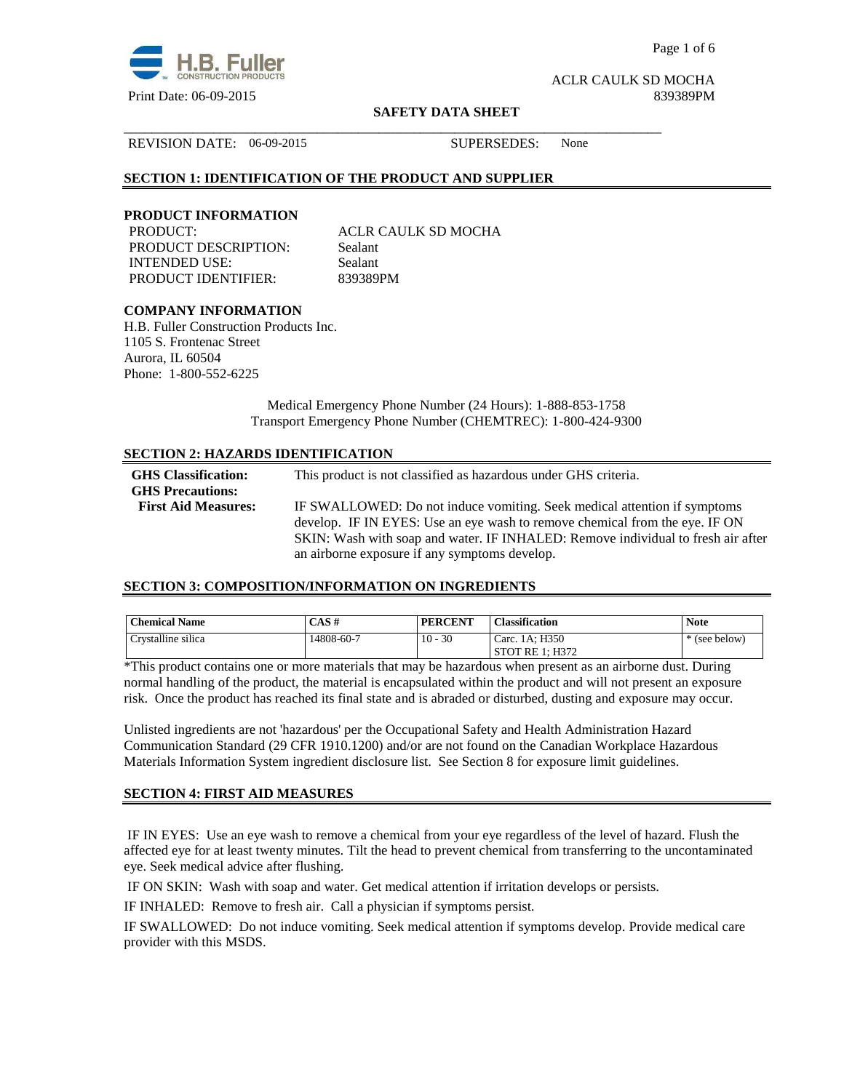

Page 1 of 6

ACLR CAULK SD MOCHA

#### **SAFETY DATA SHEET**

REVISION DATE: 06-09-2015 SUPERSEDES: None

# **SECTION 1: IDENTIFICATION OF THE PRODUCT AND SUPPLIER**

#### **PRODUCT INFORMATION**

PRODUCT DESCRIPTION: Sealant INTENDED USE: Sealant PRODUCT IDENTIFIER: 839389PM

PRODUCT: ACLR CAULK SD MOCHA

\_\_\_\_\_\_\_\_\_\_\_\_\_\_\_\_\_\_\_\_\_\_\_\_\_\_\_\_\_\_\_\_\_\_\_\_\_\_\_\_\_\_\_\_\_\_\_\_\_\_\_\_\_\_\_\_\_\_\_\_\_\_\_\_\_\_\_\_\_\_\_\_\_\_\_\_\_\_

# **COMPANY INFORMATION**

H.B. Fuller Construction Products Inc. 1105 S. Frontenac Street Aurora, IL 60504 Phone: 1-800-552-6225

> Medical Emergency Phone Number (24 Hours): 1-888-853-1758 Transport Emergency Phone Number (CHEMTREC): 1-800-424-9300

#### **SECTION 2: HAZARDS IDENTIFICATION**

| <b>GHS</b> Classification:<br><b>GHS Precautions:</b> | This product is not classified as hazardous under GHS criteria.                                                                                         |
|-------------------------------------------------------|---------------------------------------------------------------------------------------------------------------------------------------------------------|
| <b>First Aid Measures:</b>                            | IF SWALLOWED: Do not induce vomiting. Seek medical attention if symptoms<br>develop. IF IN EYES: Use an eye wash to remove chemical from the eye. IF ON |
|                                                       | SKIN: Wash with soap and water. IF INHALED: Remove individual to fresh air after<br>an airborne exposure if any symptoms develop.                       |

#### **SECTION 3: COMPOSITION/INFORMATION ON INGREDIENTS**

| <b>Chemical Name</b> | CAS#       | <b>PERCENT</b> | <b>Classification</b> | <b>Note</b> |
|----------------------|------------|----------------|-----------------------|-------------|
| Crystalline silica   | 14808-60-7 | $10 - 30$      | Carc. 1A: H350        | (see below) |
|                      |            |                | STOT RE 1: H372       |             |

\*This product contains one or more materials that may be hazardous when present as an airborne dust. During normal handling of the product, the material is encapsulated within the product and will not present an exposure risk. Once the product has reached its final state and is abraded or disturbed, dusting and exposure may occur.

Unlisted ingredients are not 'hazardous' per the Occupational Safety and Health Administration Hazard Communication Standard (29 CFR 1910.1200) and/or are not found on the Canadian Workplace Hazardous Materials Information System ingredient disclosure list. See Section 8 for exposure limit guidelines.

#### **SECTION 4: FIRST AID MEASURES**

 IF IN EYES: Use an eye wash to remove a chemical from your eye regardless of the level of hazard. Flush the affected eye for at least twenty minutes. Tilt the head to prevent chemical from transferring to the uncontaminated eye. Seek medical advice after flushing.

IF ON SKIN: Wash with soap and water. Get medical attention if irritation develops or persists.

IF INHALED: Remove to fresh air. Call a physician if symptoms persist.

IF SWALLOWED:Do not induce vomiting. Seek medical attention if symptoms develop. Provide medical care provider with this MSDS.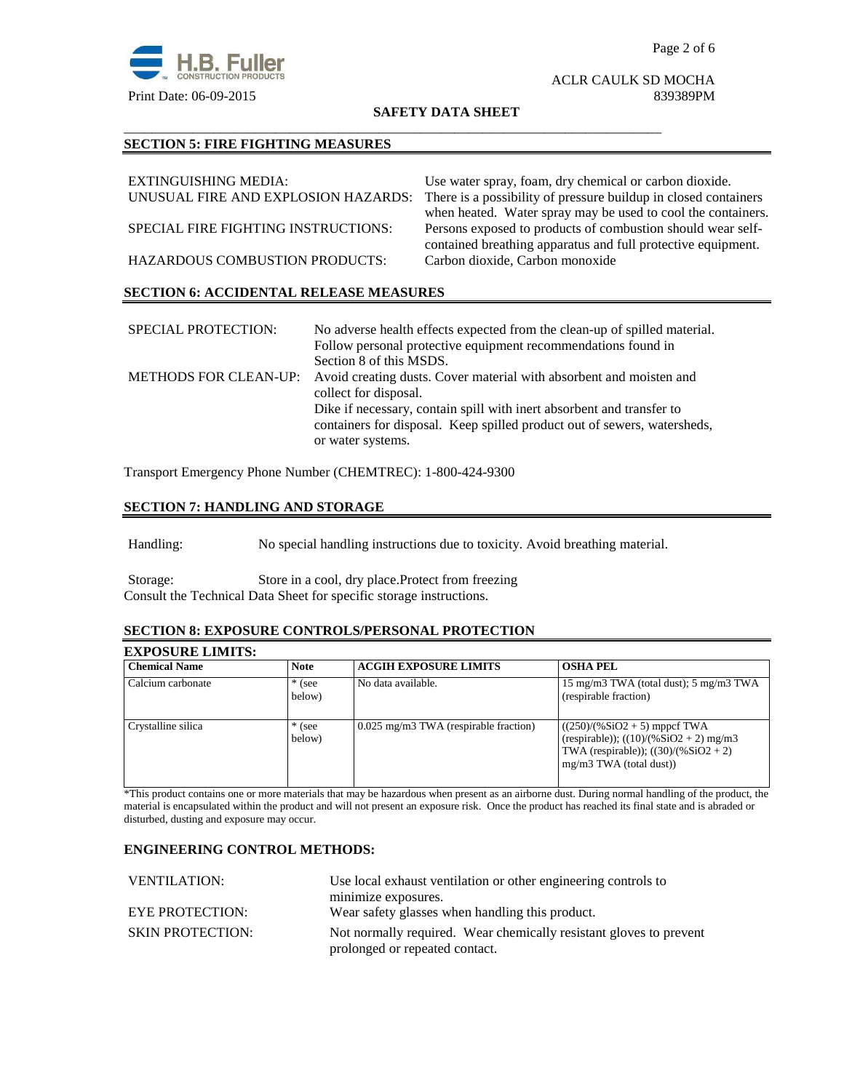

# ACLR CAULK SD MOCHA

#### **SAFETY DATA SHEET**

\_\_\_\_\_\_\_\_\_\_\_\_\_\_\_\_\_\_\_\_\_\_\_\_\_\_\_\_\_\_\_\_\_\_\_\_\_\_\_\_\_\_\_\_\_\_\_\_\_\_\_\_\_\_\_\_\_\_\_\_\_\_\_\_\_\_\_\_\_\_\_\_\_\_\_\_\_\_

# **SECTION 5: FIRE FIGHTING MEASURES**

| EXTINGUISHING MEDIA:                          | Use water spray, foam, dry chemical or carbon dioxide.          |
|-----------------------------------------------|-----------------------------------------------------------------|
| UNUSUAL FIRE AND EXPLOSION HAZARDS:           | There is a possibility of pressure buildup in closed containers |
|                                               | when heated. Water spray may be used to cool the containers.    |
| SPECIAL FIRE FIGHTING INSTRUCTIONS:           | Persons exposed to products of combustion should wear self-     |
|                                               | contained breathing apparatus and full protective equipment.    |
| <b>HAZARDOUS COMBUSTION PRODUCTS:</b>         | Carbon dioxide, Carbon monoxide                                 |
|                                               |                                                                 |
| <b>SECTION 6: ACCIDENTAL RELEASE MEASURES</b> |                                                                 |

| <b>SPECIAL PROTECTION:</b> | No adverse health effects expected from the clean-up of spilled material.<br>Follow personal protective equipment recommendations found in<br>Section 8 of this MSDS.  |
|----------------------------|------------------------------------------------------------------------------------------------------------------------------------------------------------------------|
|                            | METHODS FOR CLEAN-UP: Avoid creating dusts. Cover material with absorbent and moisten and<br>collect for disposal.                                                     |
|                            | Dike if necessary, contain spill with inert absorbent and transfer to<br>containers for disposal. Keep spilled product out of sewers, watersheds,<br>or water systems. |

Transport Emergency Phone Number (CHEMTREC): 1-800-424-9300

# **SECTION 7: HANDLING AND STORAGE**

Handling: No special handling instructions due to toxicity. Avoid breathing material.

Storage: Store in a cool, dry place.Protect from freezing Consult the Technical Data Sheet for specific storage instructions.

#### **SECTION 8: EXPOSURE CONTROLS/PERSONAL PROTECTION**

# **EXPOSURE LIMITS:**

| <b>Chemical Name</b> | <b>Note</b>        | <b>ACGIH EXPOSURE LIMITS</b>            | <b>OSHA PEL</b>                                                                                                                                    |
|----------------------|--------------------|-----------------------------------------|----------------------------------------------------------------------------------------------------------------------------------------------------|
| Calcium carbonate    | $*$ (see<br>below) | No data available.                      | 15 mg/m3 TWA (total dust); 5 mg/m3 TWA<br>(respirable fraction)                                                                                    |
| Crystalline silica   | $*$ (see<br>below) | $0.025$ mg/m3 TWA (respirable fraction) | $((250)/(%SiO2 + 5)$ mppcf TWA<br>(respirable)); $((10)/(%SiO2 + 2)$ mg/m3<br>TWA (respirable)); $((30)/(%SiO2 + 2))$<br>$mg/m3$ TWA (total dust)) |

\*This product contains one or more materials that may be hazardous when present as an airborne dust. During normal handling of the product, the material is encapsulated within the product and will not present an exposure risk. Once the product has reached its final state and is abraded or disturbed, dusting and exposure may occur.

## **ENGINEERING CONTROL METHODS:**

| <b>VENTILATION:</b>     | Use local exhaust ventilation or other engineering controls to                                       |  |
|-------------------------|------------------------------------------------------------------------------------------------------|--|
|                         | minimize exposures.                                                                                  |  |
| EYE PROTECTION:         | Wear safety glasses when handling this product.                                                      |  |
| <b>SKIN PROTECTION:</b> | Not normally required. Wear chemically resistant gloves to prevent<br>prolonged or repeated contact. |  |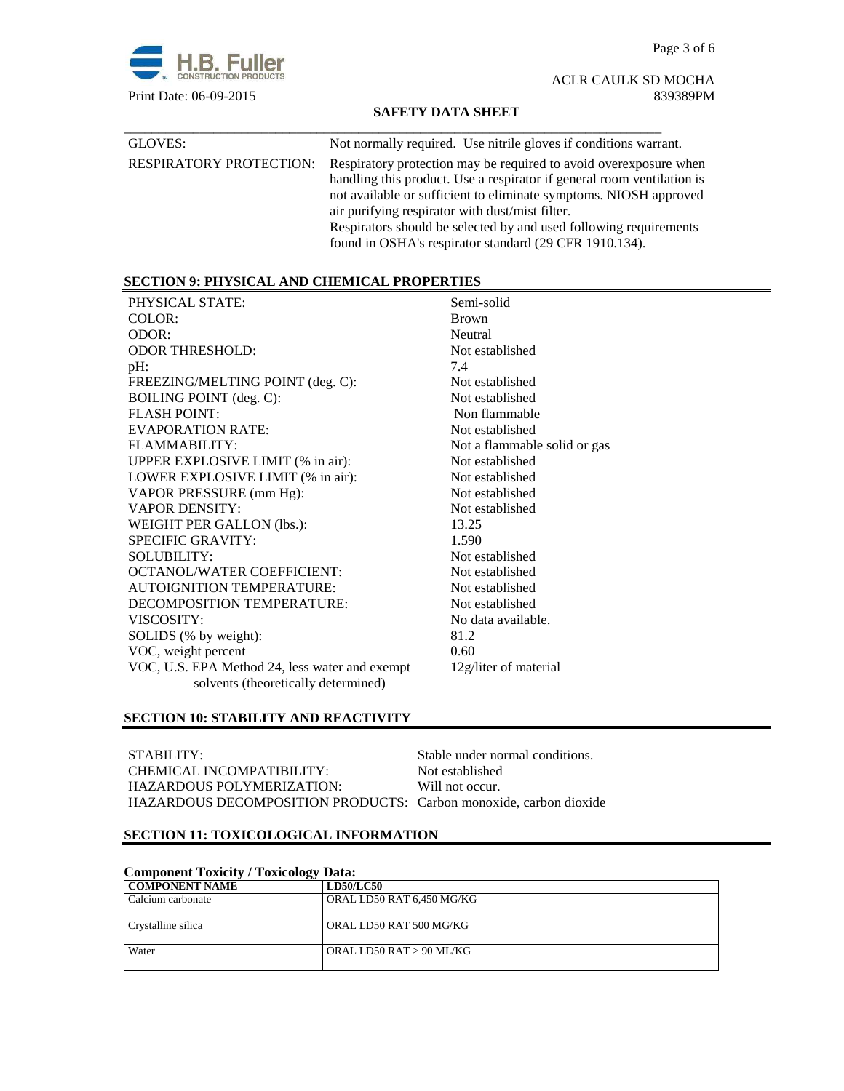Page 3 of 6



ACLR CAULK SD MOCHA Print Date: 06-09-2015 839389PM

### **SAFETY DATA SHEET**

| GLOVES:                        | Not normally required. Use nitrile gloves if conditions warrant.                                                                                                                                                                                                                                                                                                                                   |
|--------------------------------|----------------------------------------------------------------------------------------------------------------------------------------------------------------------------------------------------------------------------------------------------------------------------------------------------------------------------------------------------------------------------------------------------|
| <b>RESPIRATORY PROTECTION:</b> | Respiratory protection may be required to avoid overexposure when<br>handling this product. Use a respirator if general room ventilation is<br>not available or sufficient to eliminate symptoms. NIOSH approved<br>air purifying respirator with dust/mist filter.<br>Respirators should be selected by and used following requirements<br>found in OSHA's respirator standard (29 CFR 1910.134). |

# **SECTION 9: PHYSICAL AND CHEMICAL PROPERTIES**

| PHYSICAL STATE:                                | Semi-solid                   |
|------------------------------------------------|------------------------------|
| COLOR:                                         | <b>Brown</b>                 |
| ODOR:                                          | Neutral                      |
| <b>ODOR THRESHOLD:</b>                         | Not established              |
| $pH$ :                                         | 7.4                          |
| FREEZING/MELTING POINT (deg. C):               | Not established              |
| <b>BOILING POINT</b> (deg. C):                 | Not established              |
| <b>FLASH POINT:</b>                            | Non flammable                |
| <b>EVAPORATION RATE:</b>                       | Not established              |
| FLAMMABILITY:                                  | Not a flammable solid or gas |
| UPPER EXPLOSIVE LIMIT (% in air):              | Not established              |
| LOWER EXPLOSIVE LIMIT (% in air):              | Not established              |
| VAPOR PRESSURE (mm Hg):                        | Not established              |
| <b>VAPOR DENSITY:</b>                          | Not established              |
| WEIGHT PER GALLON (lbs.):                      | 13.25                        |
| <b>SPECIFIC GRAVITY:</b>                       | 1.590                        |
| <b>SOLUBILITY:</b>                             | Not established              |
| <b>OCTANOL/WATER COEFFICIENT:</b>              | Not established              |
| <b>AUTOIGNITION TEMPERATURE:</b>               | Not established              |
| DECOMPOSITION TEMPERATURE:                     | Not established              |
| VISCOSITY:                                     | No data available.           |
| SOLIDS (% by weight):                          | 81.2                         |
| VOC, weight percent                            | 0.60                         |
| VOC, U.S. EPA Method 24, less water and exempt | 12g/liter of material        |
| solvents (theoretically determined)            |                              |
|                                                |                              |

# **SECTION 10: STABILITY AND REACTIVITY**

| STABILITY:                                                        | Stable under normal conditions. |
|-------------------------------------------------------------------|---------------------------------|
| CHEMICAL INCOMPATIBILITY:                                         | Not established                 |
| HAZARDOUS POLYMERIZATION:                                         | Will not occur.                 |
| HAZARDOUS DECOMPOSITION PRODUCTS: Carbon monoxide, carbon dioxide |                                 |

# **SECTION 11: TOXICOLOGICAL INFORMATION**

| <b>Component Toxicity / Toxicology Data:</b> |                           |  |
|----------------------------------------------|---------------------------|--|
| <b>COMPONENT NAME</b>                        | <b>LD50/LC50</b>          |  |
| Calcium carbonate                            | ORAL LD50 RAT 6,450 MG/KG |  |
| Crystalline silica                           | ORAL LD50 RAT 500 MG/KG   |  |
| Water                                        | ORAL LD50 RAT > 90 ML/KG  |  |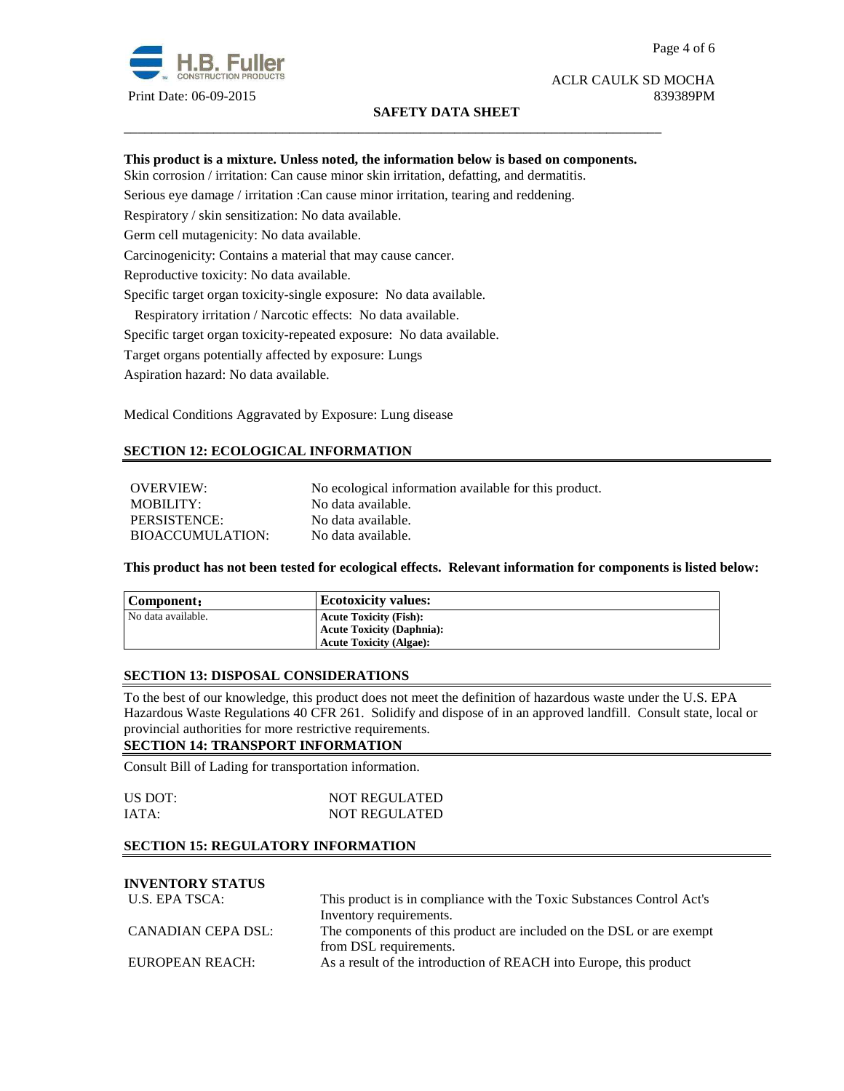

# **SAFETY DATA SHEET**

#### Page 4 of 6

# ACLR CAULK SD MOCHA

#### **This product is a mixture. Unless noted, the information below is based on components.**

\_\_\_\_\_\_\_\_\_\_\_\_\_\_\_\_\_\_\_\_\_\_\_\_\_\_\_\_\_\_\_\_\_\_\_\_\_\_\_\_\_\_\_\_\_\_\_\_\_\_\_\_\_\_\_\_\_\_\_\_\_\_\_\_\_\_\_\_\_\_\_\_\_\_\_\_\_\_

Skin corrosion / irritation: Can cause minor skin irritation, defatting, and dermatitis.

Serious eye damage / irritation :Can cause minor irritation, tearing and reddening.

Respiratory / skin sensitization: No data available.

Germ cell mutagenicity: No data available.

Carcinogenicity: Contains a material that may cause cancer.

Reproductive toxicity: No data available.

Specific target organ toxicity-single exposure:No data available.

Respiratory irritation / Narcotic effects: No data available.

Specific target organ toxicity-repeated exposure:No data available.

Target organs potentially affected by exposure: Lungs

Aspiration hazard: No data available.

Medical Conditions Aggravated by Exposure: Lung disease

#### **SECTION 12: ECOLOGICAL INFORMATION**

OVERVIEW: No ecological information available for this product. MOBILITY: No data available. PERSISTENCE: No data available. BIOACCUMULATION: No data available.

**This product has not been tested for ecological effects. Relevant information for components is listed below:** 

| Component:         | <b>Ecotoxicity values:</b>       |
|--------------------|----------------------------------|
| No data available. | <b>Acute Toxicity (Fish):</b>    |
|                    | <b>Acute Toxicity (Daphnia):</b> |
|                    | <b>Acute Toxicity (Algae):</b>   |

#### **SECTION 13: DISPOSAL CONSIDERATIONS**

To the best of our knowledge, this product does not meet the definition of hazardous waste under the U.S. EPA Hazardous Waste Regulations 40 CFR 261. Solidify and dispose of in an approved landfill. Consult state, local or provincial authorities for more restrictive requirements.

#### **SECTION 14: TRANSPORT INFORMATION**

Consult Bill of Lading for transportation information.

| US DOT: | <b>NOT REGULATED</b> |
|---------|----------------------|
| IATA:   | <b>NOT REGULATED</b> |

### **SECTION 15: REGULATORY INFORMATION**

# **INVENTORY STATUS**

| U.S. EPA TSCA:     | This product is in compliance with the Toxic Substances Control Act's |  |
|--------------------|-----------------------------------------------------------------------|--|
|                    | Inventory requirements.                                               |  |
| CANADIAN CEPA DSL: | The components of this product are included on the DSL or are exempt  |  |
|                    | from DSL requirements.                                                |  |
| EUROPEAN REACH:    | As a result of the introduction of REACH into Europe, this product    |  |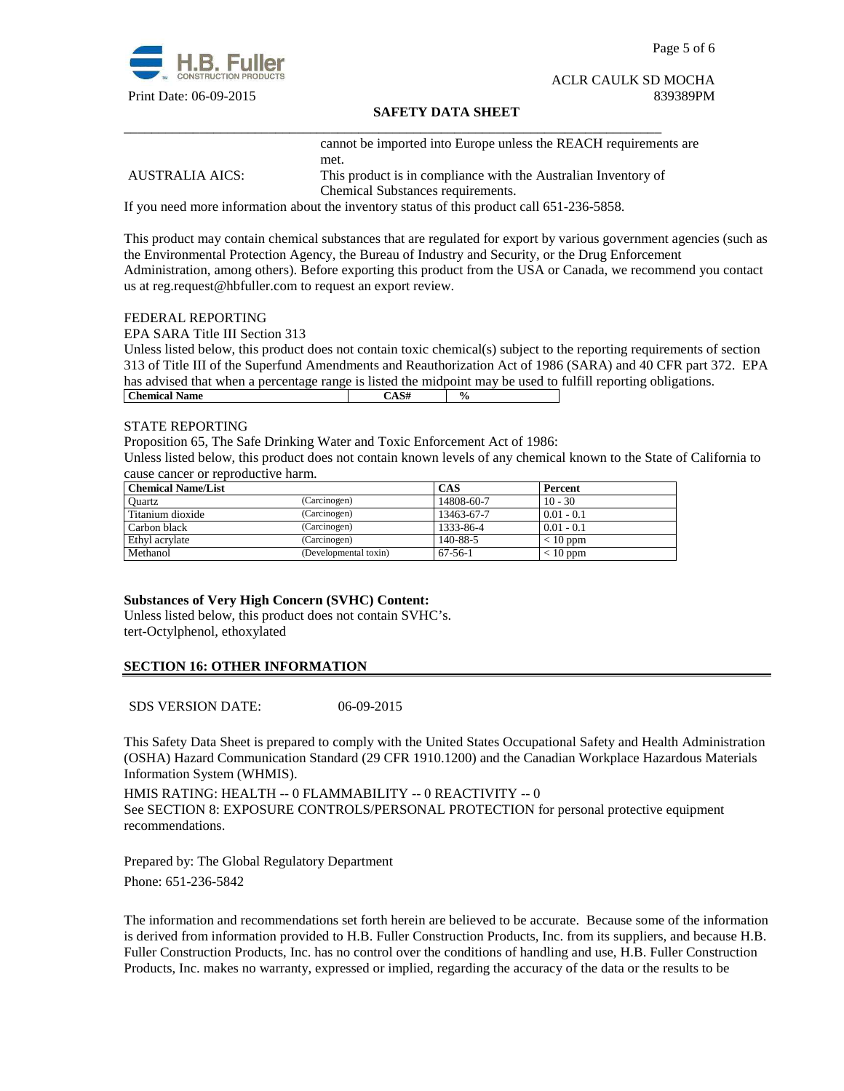

Page 5 of 6

#### ACLR CAULK SD MOCHA Print Date: 06-09-2015 839389PM

### **SAFETY DATA SHEET**

\_\_\_\_\_\_\_\_\_\_\_\_\_\_\_\_\_\_\_\_\_\_\_\_\_\_\_\_\_\_\_\_\_\_\_\_\_\_\_\_\_\_\_\_\_\_\_\_\_\_\_\_\_\_\_\_\_\_\_\_\_\_\_\_\_\_\_\_\_\_\_\_\_\_\_\_\_\_ cannot be imported into Europe unless the REACH requirements are met.

AUSTRALIA AICS: This product is in compliance with the Australian Inventory of Chemical Substances requirements.

If you need more information about the inventory status of this product call 651-236-5858.

This product may contain chemical substances that are regulated for export by various government agencies (such as the Environmental Protection Agency, the Bureau of Industry and Security, or the Drug Enforcement Administration, among others). Before exporting this product from the USA or Canada, we recommend you contact us at reg.request@hbfuller.com to request an export review.

#### FEDERAL REPORTING

EPA SARA Title III Section 313

Unless listed below, this product does not contain toxic chemical(s) subject to the reporting requirements of section 313 of Title III of the Superfund Amendments and Reauthorization Act of 1986 (SARA) and 40 CFR part 372. EPA has advised that when a percentage range is listed the midpoint may be used to fulfill reporting obligations. **Chemical Name**  $\qquad \qquad$   $\qquad \qquad$   $\qquad \qquad$   $\qquad \qquad$   $\qquad \qquad$   $\qquad \qquad$   $\qquad \qquad$   $\qquad \qquad$   $\qquad \qquad$   $\qquad \qquad$   $\qquad \qquad$   $\qquad \qquad$   $\qquad \qquad$   $\qquad \qquad$   $\qquad \qquad$   $\qquad \qquad$   $\qquad \qquad$   $\qquad \qquad$   $\qquad \qquad$   $\qquad \qquad$   $\qquad \qquad$   $\qquad \qquad$   $\qquad \qquad$ 

#### STATE REPORTING

Proposition 65, The Safe Drinking Water and Toxic Enforcement Act of 1986:

Unless listed below, this product does not contain known levels of any chemical known to the State of California to cause cancer or reproductive harm.

| <b>Chemical Name/List</b> |                       | <b>CAS</b> | Percent      |
|---------------------------|-----------------------|------------|--------------|
| Ouartz                    | (Carcinogen)          | 14808-60-7 | $10 - 30$    |
| Titanium dioxide          | (Carcinogen)          | 13463-67-7 | $0.01 - 0.1$ |
| Carbon black              | (Carcinogen)          | 1333-86-4  | $0.01 - 0.1$ |
| Ethyl acrylate            | (Carcinogen)          | 140-88-5   | $< 10$ ppm   |
| Methanol                  | (Developmental toxin) | $67-56-1$  | $< 10$ ppm   |

#### **Substances of Very High Concern (SVHC) Content:**

Unless listed below, this product does not contain SVHC's. tert-Octylphenol, ethoxylated

# **SECTION 16: OTHER INFORMATION**

SDS VERSION DATE: 06-09-2015

This Safety Data Sheet is prepared to comply with the United States Occupational Safety and Health Administration (OSHA) Hazard Communication Standard (29 CFR 1910.1200) and the Canadian Workplace Hazardous Materials Information System (WHMIS).

HMIS RATING: HEALTH -- 0 FLAMMABILITY -- 0 REACTIVITY -- 0 See SECTION 8: EXPOSURE CONTROLS/PERSONAL PROTECTION for personal protective equipment recommendations.

Prepared by: The Global Regulatory Department Phone: 651-236-5842

The information and recommendations set forth herein are believed to be accurate. Because some of the information is derived from information provided to H.B. Fuller Construction Products, Inc. from its suppliers, and because H.B. Fuller Construction Products, Inc. has no control over the conditions of handling and use, H.B. Fuller Construction Products, Inc. makes no warranty, expressed or implied, regarding the accuracy of the data or the results to be